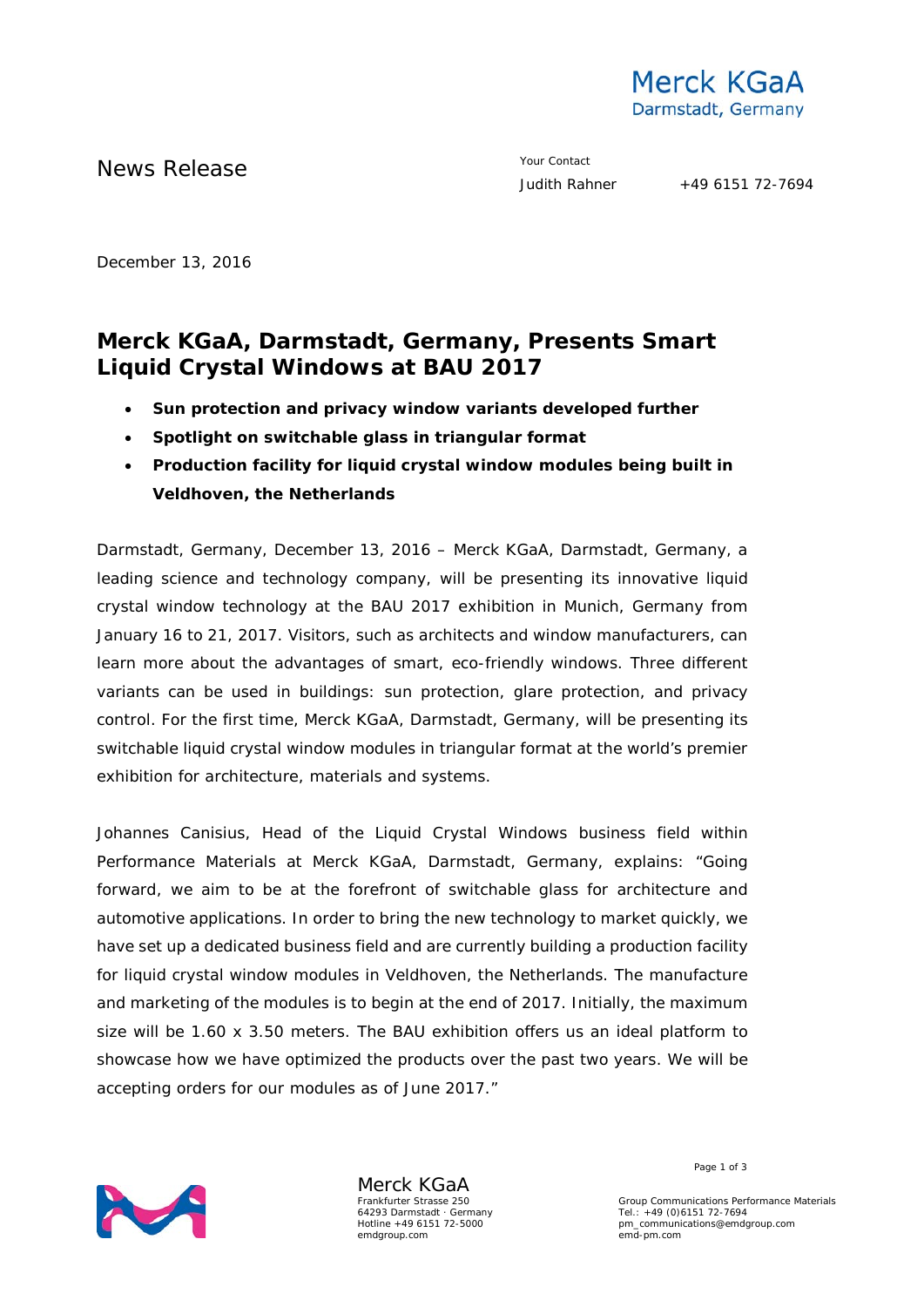

News Release The Contact Terms and the Vour Contact Vour Contact Vour Contact

December 13, 2016

# **Merck KGaA, Darmstadt, Germany, Presents Smart Liquid Crystal Windows at BAU 2017**

- **Sun protection and privacy window variants developed further**
- **Spotlight on switchable glass in triangular format**
- **Production facility for liquid crystal window modules being built in Veldhoven, the Netherlands**

Darmstadt, Germany, December 13, 2016 – Merck KGaA, Darmstadt, Germany, a leading science and technology company, will be presenting its innovative liquid crystal window technology at the BAU 2017 exhibition in Munich, Germany from January 16 to 21, 2017. Visitors, such as architects and window manufacturers, can learn more about the advantages of smart, eco-friendly windows. Three different variants can be used in buildings: sun protection, glare protection, and privacy control. For the first time, Merck KGaA, Darmstadt, Germany, will be presenting its switchable liquid crystal window modules in triangular format at the world's premier exhibition for architecture, materials and systems.

Johannes Canisius, Head of the Liquid Crystal Windows business field within Performance Materials at Merck KGaA, Darmstadt, Germany, explains: "Going forward, we aim to be at the forefront of switchable glass for architecture and automotive applications. In order to bring the new technology to market quickly, we have set up a dedicated business field and are currently building a production facility for liquid crystal window modules in Veldhoven, the Netherlands. The manufacture and marketing of the modules is to begin at the end of 2017. Initially, the maximum size will be 1.60 x 3.50 meters. The BAU exhibition offers us an ideal platform to showcase how we have optimized the products over the past two years. We will be accepting orders for our modules as of June 2017."



Merck KGaA Frankfurter Strasse 250 64293 Darmstadt · Germany Hotline +49 6151 72-5000 emdgroup.com

Page 1 of 3

Group Communications Performance Materials Tel.: +49 (0)6151 72-7694 pm\_communications@emdgroup.com emd-pm.com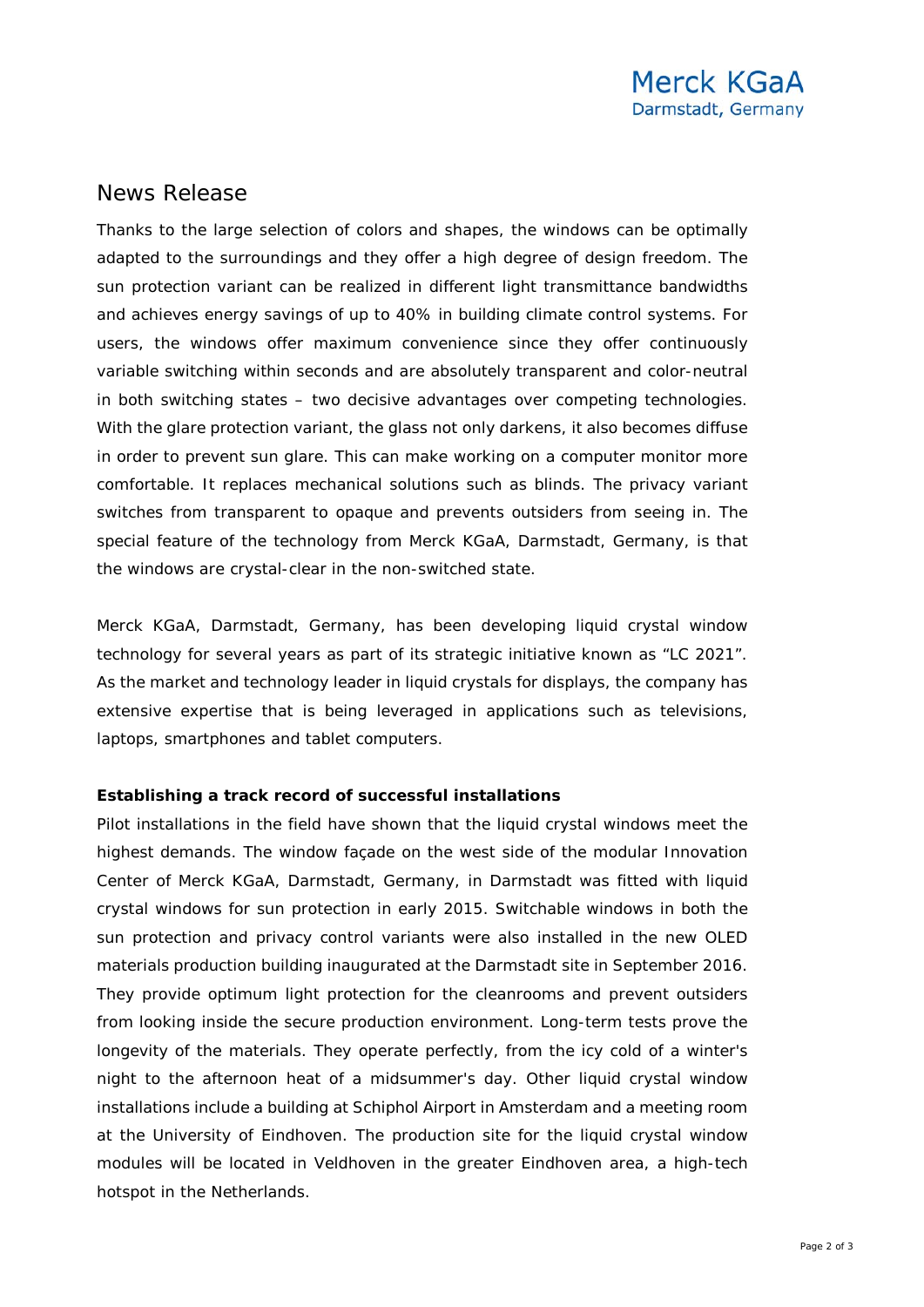## News Release

Thanks to the large selection of colors and shapes, the windows can be optimally adapted to the surroundings and they offer a high degree of design freedom. The sun protection variant can be realized in different light transmittance bandwidths and achieves energy savings of up to 40% in building climate control systems. For users, the windows offer maximum convenience since they offer continuously variable switching within seconds and are absolutely transparent and color-neutral in both switching states – two decisive advantages over competing technologies. With the glare protection variant, the glass not only darkens, it also becomes diffuse in order to prevent sun glare. This can make working on a computer monitor more comfortable. It replaces mechanical solutions such as blinds. The privacy variant switches from transparent to opaque and prevents outsiders from seeing in. The special feature of the technology from Merck KGaA, Darmstadt, Germany, is that the windows are crystal-clear in the non-switched state.

Merck KGaA, Darmstadt, Germany, has been developing liquid crystal window technology for several years as part of its strategic initiative known as "LC 2021". As the market and technology leader in liquid crystals for displays, the company has extensive expertise that is being leveraged in applications such as televisions, laptops, smartphones and tablet computers.

### **Establishing a track record of successful installations**

Pilot installations in the field have shown that the liquid crystal windows meet the highest demands. The window façade on the west side of the modular Innovation Center of Merck KGaA, Darmstadt, Germany, in Darmstadt was fitted with liquid crystal windows for sun protection in early 2015. Switchable windows in both the sun protection and privacy control variants were also installed in the new OLED materials production building inaugurated at the Darmstadt site in September 2016. They provide optimum light protection for the cleanrooms and prevent outsiders from looking inside the secure production environment. Long-term tests prove the longevity of the materials. They operate perfectly, from the icy cold of a winter's night to the afternoon heat of a midsummer's day. Other liquid crystal window installations include a building at Schiphol Airport in Amsterdam and a meeting room at the University of Eindhoven. The production site for the liquid crystal window modules will be located in Veldhoven in the greater Eindhoven area, a high-tech hotspot in the Netherlands.